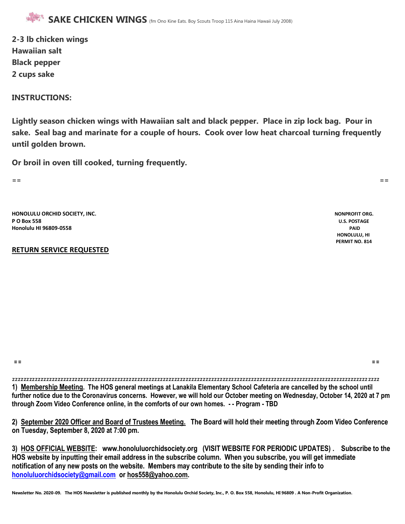**2-3 lb chicken wings Hawaiian salt Black pepper 2 cups sake**

#### **INSTRUCTIONS:**

**Lightly season chicken wings with Hawaiian salt and black pepper. Place in zip lock bag. Pour in sake. Seal bag and marinate for a couple of hours. Cook over low heat charcoal turning frequently until golden brown.**

**Or broil in oven till cooked, turning frequently.**

**== ==**

**HONOLULU ORCHID SOCIETY, INC. NONPROFIT ORG. P O Box 558 U.S. POSTAGE Honolulu HI 96809-0558 PAID**

#### **RETURN SERVICE REQUESTED**

 **HONOLULU, HI PERMIT NO. 814**

**== ==** 

zzzzzzzzzzzzzzzzzzzzzzzzzzzzzzzzzzzzzzzzzzzzzzzzzzzzzzzzzzzzzzzzzzzzzzzzzzzzzzzzzzzzzzzzzzzzzzzzzzzzzzzzzzzzzzzzzzzzzzzzzzzzzzzzz **1) Membership Meeting. The HOS general meetings at Lanakila Elementary School Cafeteria are cancelled by the school until further notice due to the Coronavirus concerns. However, we will hold our October meeting on Wednesday, October 14, 2020 at 7 pm through Zoom Video Conference online, in the comforts of our own homes. - - Program - TBD**

**2) September 2020 Officer and Board of Trustees Meeting. The Board will hold their meeting through Zoom Video Conference on Tuesday, September 8, 2020 at 7:00 pm.**

**3) HOS OFFICIAL WEBSITE: www.honoluluorchidsociety.org (VISIT WEBSITE FOR PERIODIC UPDATES) . Subscribe to the HOS website by inputting their email address in the subscribe column. When you subscribe, you will get immediate notification of any new posts on the website. Members may contribute to the site by sending their info to [honoluluorchidsociety@gmail.com](mailto:honoluluorchidsociety@gmail.com) or hos558@yahoo.com.**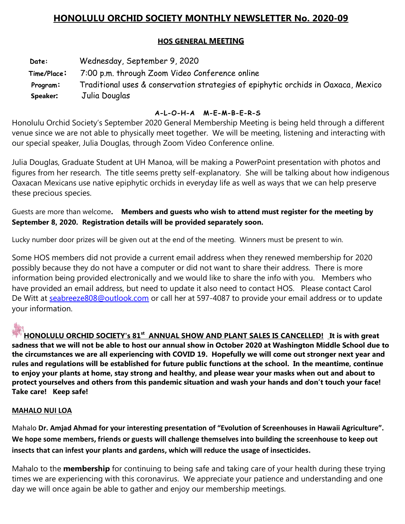# **HONOLULU ORCHID SOCIETY MONTHLY NEWSLETTER No. 2020-09**

# **HOS GENERAL MEETING**

 **Date:** Wednesday, September 9, 2020 **Time/Place:** 7:00 p.m. through Zoom Video Conference online **Program:** Traditional uses & conservation strategies of epiphytic orchids in Oaxaca, Mexico  **Speaker:** Julia Douglas

## **A-L-O-H-A M-E-M-B-E-R-S**

Honolulu Orchid Society's September 2020 General Membership Meeting is being held through a different venue since we are not able to physically meet together. We will be meeting, listening and interacting with our special speaker, Julia Douglas, through Zoom Video Conference online.

Julia Douglas, Graduate Student at UH Manoa, will be making a PowerPoint presentation with photos and figures from her research. The title seems pretty self-explanatory. She will be talking about how indigenous Oaxacan Mexicans use native epiphytic orchids in everyday life as well as ways that we can help preserve these precious species.

Guests are more than welcome**. Members and guests who wish to attend must register for the meeting by September 8, 2020. Registration details will be provided separately soon.**

Lucky number door prizes will be given out at the end of the meeting. Winners must be present to win.

Some HOS members did not provide a current email address when they renewed membership for 2020 possibly because they do not have a computer or did not want to share their address. There is more information being provided electronically and we would like to share the info with you. Members who have provided an email address, but need to update it also need to contact HOS. Please contact Carol De Witt at [seabreeze808@outlook.com](mailto:seabreeze808@outlook.com) or call her at 597-4087 to provide your email address or to update your information.

**HONOLULU ORCHID SOCIETY's 81st ANNUAL SHOW AND PLANT SALES IS CANCELLED! It is with great sadness that we will not be able to host our annual show in October 2020 at Washington Middle School due to the circumstances we are all experiencing with COVID 19. Hopefully we will come out stronger next year and rules and regulations will be established for future public functions at the school. In the meantime, continue to enjoy your plants at home, stay strong and healthy, and please wear your masks when out and about to protect yourselves and others from this pandemic situation and wash your hands and don't touch your face! Take care! Keep safe!**

### **MAHALO NUI LOA**

Mahalo **Dr. Amjad Ahmad for your interesting presentation of "Evolution of Screenhouses in Hawaii Agriculture". We hope some members, friends or guests will challenge themselves into building the screenhouse to keep out insects that can infest your plants and gardens, which will reduce the usage of insecticides.**

Mahalo to the **membership** for continuing to being safe and taking care of your health during these trying times we are experiencing with this coronavirus. We appreciate your patience and understanding and one day we will once again be able to gather and enjoy our membership meetings.